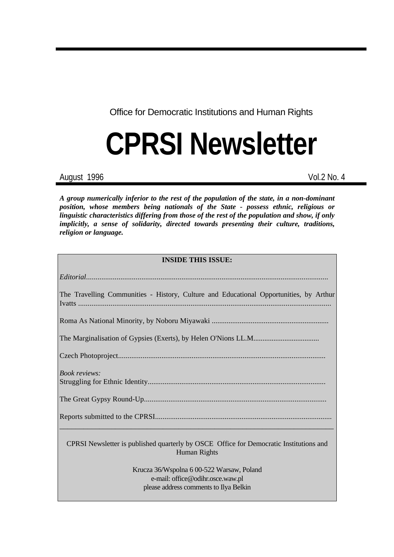Office for Democratic Institutions and Human Rights

# **CPRSI Newsletter**

August 1996 Vol.2 No. 4

*A group numerically inferior to the rest of the population of the state, in a non-dominant position, whose members being nationals of the State - possess ethnic, religious or linguistic characteristics differing from those of the rest of the population and show, if only implicitly, a sense of solidarity, directed towards presenting their culture, traditions, religion or language.*

| <b>INSIDE THIS ISSUE:</b>                                                                                               |  |  |  |
|-------------------------------------------------------------------------------------------------------------------------|--|--|--|
|                                                                                                                         |  |  |  |
| The Travelling Communities - History, Culture and Educational Opportunities, by Arthur                                  |  |  |  |
|                                                                                                                         |  |  |  |
|                                                                                                                         |  |  |  |
|                                                                                                                         |  |  |  |
| <i>Book reviews:</i>                                                                                                    |  |  |  |
|                                                                                                                         |  |  |  |
|                                                                                                                         |  |  |  |
| CPRSI Newsletter is published quarterly by OSCE Office for Democratic Institutions and<br>Human Rights                  |  |  |  |
| Krucza 36/Wspolna 6 00-522 Warsaw, Poland<br>e-mail: office@odihr.osce.waw.pl<br>please address comments to Ilya Belkin |  |  |  |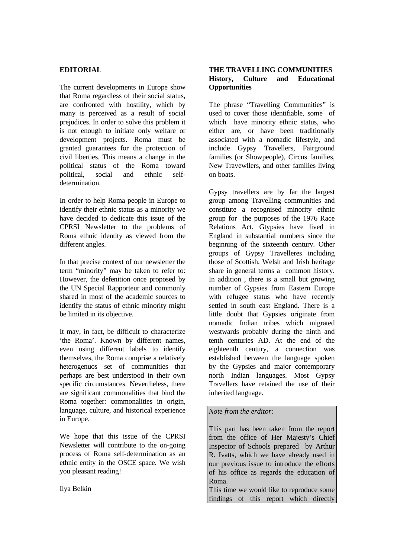### **EDITORIAL**

The current developments in Europe show that Roma regardless of their social status, are confronted with hostility, which by many is perceived as a result of social prejudices. In order to solve this problem it is not enough to initiate only welfare or development projects. Roma must be granted guarantees for the protection of civil liberties. This means a change in the political status of the Roma toward political, social and ethnic selfdetermination.

In order to help Roma people in Europe to identify their ethnic status as a minority we have decided to dedicate this issue of the CPRSI Newsletter to the problems of Roma ethnic identity as viewed from the different angles.

In that precise context of our newsletter the term "minority" may be taken to refer to: However, the defenition once proposed by the UN Special Rapporteur and commonly shared in most of the academic sources to identify the status of ethnic minority might be limited in its objective.

It may, in fact, be difficult to characterize 'the Roma'. Known by different names, even using different labels to identify themselves, the Roma comprise a relatively heterogenuos set of communities that perhaps are best understood in their own specific circumstances. Nevertheless, there are significant commonalities that bind the Roma together: commonalities in origin, language, culture, and historical experience in Europe.

We hope that this issue of the CPRSI Newsletter will contribute to the on-going process of Roma self-determination as an ethnic entity in the OSCE space. We wish you pleasant reading!

Ilya Belkin

# **THE TRAVELLING COMMUNITIES History, Culture and Educational Opportunities**

The phrase "Travelling Communities" is used to cover those identifiable, some of which have minority ethnic status, who either are, or have been traditionally associated with a nomadic lifestyle, and include Gypsy Travellers, Fairground families (or Showpeople), Circus families, New Travewllers, and other families living on boats.

Gypsy travellers are by far the largest group among Travelling communities and constitute a recognised minority ethnic group for the purposes of the 1976 Race Relations Act. Gtypsies have lived in England in substantial numbers since the beginning of the sixteenth century. Other groups of Gypsy Travelleres including those of Scottish, Welsh and Irish heritage share in general terms a common history. In addition , there is a small but growing number of Gypsies from Eastern Europe with refugee status who have recently settled in south east England. There is a little doubt that Gypsies originate from nomadic Indian tribes which migrated westwards probably during the ninth and tenth centuries AD. At the end of the eighteenth century, a connection was established between the language spoken by the Gypsies and major contemporary north Indian languages. Most Gypsy Travellers have retained the use of their inherited language.

#### *Note from the erditor:*

This part has been taken from the report from the office of Her Majesty's Chief Inspector of Schools prepared by Arthur R. Ivatts, which we have already used in our previous issue to introduce the efforts of his office as regards the education of Roma.

This time we would like to reproduce some findings of this report which directly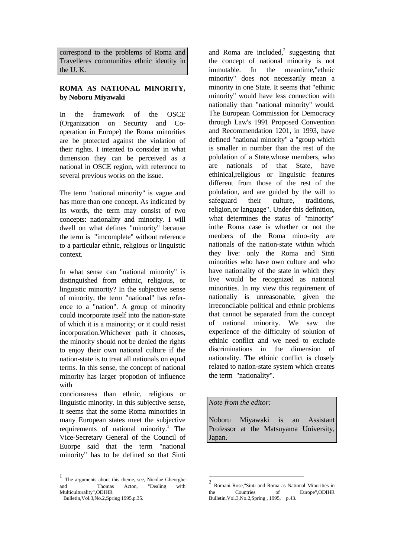correspond to the problems of Roma and Travelleres communities ethnic identity in the U. K.

#### **ROMA AS NATIONAL MINORITY, by Noboru Miyawaki**

In the framework of the OSCE (Organization on Security and Cooperation in Europe) the Roma minorities are be ptotected against the violation of their rights. I intented to consider in what dimension they can be perceived as a national in OSCE region, with reference to several previous works on the issue.

The term "national minority" is vague and has more than one concept. As indicated by its words, the term may consist of two concepts: nationality and minority. I will dwell on what defines "minority" because the term is "imcomplete" without reference to a particular ethnic, religious or linguistic context.

In what sense can "national minority" is distinguished from ethinic, religious, or linguistic minority? In the subjective sense of minority, the term "national" has reference to a "nation". A group of minority could incorporate itself into the nation-state of which it is a mainority; or it could resist incorporation.Whichever path it chooses, the minority should not be denied the rights to enjoy their own national culture if the nation-state is to treat all nationals on equal terms. In this sense, the concept of national minority has larger propotion of influence with

conciousness than ethnic, religious or linguistic minority. In this subjective sense, it seems that the some Roma minorities in many European states meet the subjective requirements of national minority.<sup>1</sup> The Vice-Secretary General of the Council of Euorpe said that the term "national minority" has to be defined so that Sinti

 $\overline{a}$ 

and Roma are included,<sup>2</sup> suggesting that the concept of national minority is not immutable. In the meantime,"ethnic minority" does not necessarily mean a minority in one State. It seems that "ethinic minority" would have less connection with nationaliy than "national minority" would. The European Commission for Democracy through Law's 1991 Proposed Convention and Recommendation 1201, in 1993, have defined "national minority" a "group which is smaller in number than the rest of the polulation of a State,whose members, who are nationals of that State, have ethinical,religious or linguistic features different from those of the rest of the polulation, and are guided by the will to safeguard their culture, traditions, religion,or language". Under this definition, what determines the status of "minority" inthe Roma case is whether or not the menbers of the Roma mino-rity are nationals of the nation-state within which they live: only the Roma and Sinti minorities who have own culture and who have nationality of the state in which they live would be recognized as national minorities. In my view this requirement of nationaliy is unreasonable, given the irreconcilable political and ethnic problems that cannot be separated from the concept of national minority. We saw the experience of the difficulty of solution of ethinic conflict and we need to exclude discriminations in the dimension of nationality. The ethinic conflict is closely related to nation-state system which creates the term "nationality".

*Note from the editor:*

 $\overline{a}$ 

Noboru Miyawaki is an Assistant Professor at the Matsuyama University, Japan.

<sup>1</sup> The arguments about this theme, see, Nicolae Gheorghe and Thomas Acton, "Dealing with Multiculturality",ODIHR

Bulletin,Vol.3,No.2,Spring 1995,p.35.

<sup>2</sup> Romani Rose,"Sinti and Roma as National Minorities in the Countries of Europe",ODIHR Bulletin,Vol.3,No.2,Spring , 1995, p.43.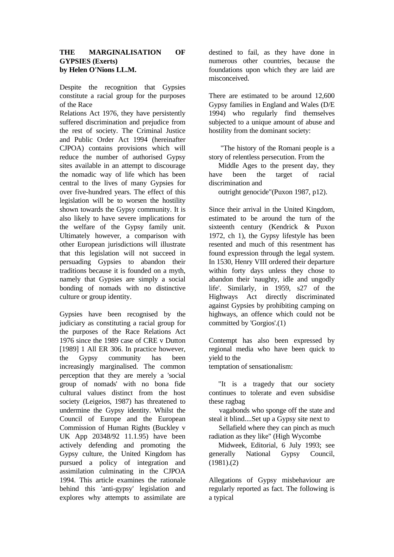#### **THE MARGINALISATION OF GYPSIES (Exerts) by Helen O'Nions LL.M.**

Despite the recognition that Gypsies constitute a racial group for the purposes of the Race

Relations Act 1976, they have persistently suffered discrimination and prejudice from the rest of society. The Criminal Justice and Public Order Act 1994 (hereinafter CJPOA) contains provisions which will reduce the number of authorised Gypsy sites available in an attempt to discourage the nomadic way of life which has been central to the lives of many Gypsies for over five-hundred years. The effect of this legislation will be to worsen the hostility shown towards the Gypsy community. It is also likely to have severe implications for the welfare of the Gypsy family unit. Ultimately however, a comparison with other European jurisdictions will illustrate that this legislation will not succeed in persuading Gypsies to abandon their traditions because it is founded on a myth, namely that Gypsies are simply a social bonding of nomads with no distinctive culture or group identity.

Gypsies have been recognised by the judiciary as constituting a racial group for the purposes of the Race Relations Act 1976 since the 1989 case of CRE v Dutton [1989] 1 All ER 306. In practice however, the Gypsy community has been increasingly marginalised. The common perception that they are merely a 'social group of nomads' with no bona fide cultural values distinct from the host society (Leigeios, 1987) has threatened to undermine the Gypsy identity. Whilst the Council of Europe and the European Commission of Human Rights (Buckley v UK App 20348/92 11.1.95) have been actively defending and promoting the Gypsy culture, the United Kingdom has pursued a policy of integration and assimilation culminating in the CJPOA 1994. This article examines the rationale behind this 'anti-gypsy' legislation and explores why attempts to assimilate are

destined to fail, as they have done in numerous other countries, because the foundations upon which they are laid are misconceived.

There are estimated to be around 12,600 Gypsy families in England and Wales (D/E 1994) who regularly find themselves subjected to a unique amount of abuse and hostility from the dominant society:

 "The history of the Romani people is a story of relentless persecution. From the

 Middle Ages to the present day, they have been the target of racial discrimination and

outright genocide"(Puxon 1987, p12).

Since their arrival in the United Kingdom, estimated to be around the turn of the sixteenth century (Kendrick & Puxon 1972, ch 1), the Gypsy lifestyle has been resented and much of this resentment has found expression through the legal system. In 1530, Henry VIII ordered their departure within forty days unless they chose to abandon their 'naughty, idle and ungodly life'. Similarly, in 1959, s27 of the Highways Act directly discriminated against Gypsies by prohibiting camping on highways, an offence which could not be committed by 'Gorgios'.(1)

Contempt has also been expressed by regional media who have been quick to yield to the

temptation of sensationalism:

 "It is a tragedy that our society continues to tolerate and even subsidise these ragbag

 vagabonds who sponge off the state and steal it blind....Set up a Gypsy site next to

 Sellafield where they can pinch as much radiation as they like" (High Wycombe

 Midweek, Editorial, 6 July 1993; see generally National Gypsy Council,  $(1981)(2)$ 

Allegations of Gypsy misbehaviour are regularly reported as fact. The following is a typical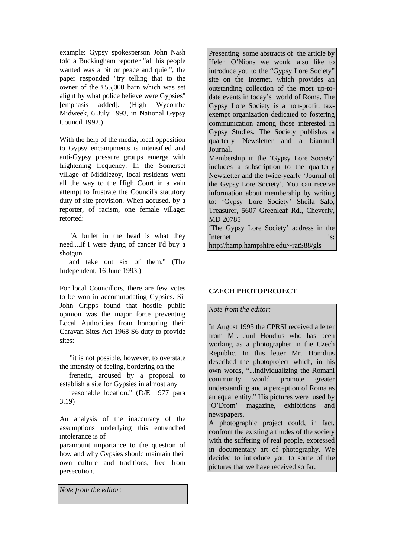example: Gypsy spokesperson John Nash told a Buckingham reporter "all his people wanted was a bit or peace and quiet", the paper responded "try telling that to the owner of the £55,000 barn which was set alight by what police believe were Gypsies" [emphasis added]. (High Wycombe Midweek, 6 July 1993, in National Gypsy Council 1992.)

With the help of the media, local opposition to Gypsy encampments is intensified and anti-Gypsy pressure groups emerge with frightening frequency. In the Somerset village of Middlezoy, local residents went all the way to the High Court in a vain attempt to frustrate the Council's statutory duty of site provision. When accused, by a reporter, of racism, one female villager retorted:

 "A bullet in the head is what they need....If I were dying of cancer I'd buy a shotgun

 and take out six of them." (The Independent, 16 June 1993.)

For local Councillors, there are few votes to be won in accommodating Gypsies. Sir John Cripps found that hostile public opinion was the major force preventing Local Authorities from honouring their Caravan Sites Act 1968 S6 duty to provide sites:

 "it is not possible, however, to overstate the intensity of feeling, bordering on the

 frenetic, aroused by a proposal to establish a site for Gypsies in almost any

 reasonable location." (D/E 1977 para 3.19)

An analysis of the inaccuracy of the assumptions underlying this entrenched intolerance is of

paramount importance to the question of how and why Gypsies should maintain their own culture and traditions, free from persecution.

*Note from the editor:*

Presenting some abstracts of the article by Helen O'Nions we would also like to introduce you to the "Gypsy Lore Society" site on the Internet, which provides an outstanding collection of the most up-todate events in today's world of Roma. The Gypsy Lore Society is a non-profit, taxexempt organization dedicated to fostering communication among those interested in Gypsy Studies. The Society publishes a quarterly Newsletter and a biannual Journal.

Membership in the 'Gypsy Lore Society' includes a subscription to the quarterly Newsletter and the twice-yearly 'Journal of the Gypsy Lore Society'. You can receive information about membership by writing to: 'Gypsy Lore Society' Sheila Salo, Treasurer, 5607 Greenleaf Rd., Cheverly, MD 20785

'The Gypsy Lore Society' address in the Internet is:  $\qquad \qquad$  is:

http://hamp.hampshire.edu/~ratS88/gls

# **CZECH PHOTOPROJECT**

#### *Note from the editor:*

In August 1995 the CPRSI received a letter from Mr. Juul Hondius who has been working as a photographer in the Czech Republic. In this letter Mr. Homdius described the photoproject which, in his own words, "...individualizing the Romani community would promote greater understanding and a perception of Roma as an equal entity." His pictures were used by 'O'Drom' magazine, exhibitions and newspapers.

A photographic project could, in fact, confront the existing attitudes of the society with the suffering of real people, expressed in documentary art of photography. We decided to introduce you to some of the pictures that we have received so far.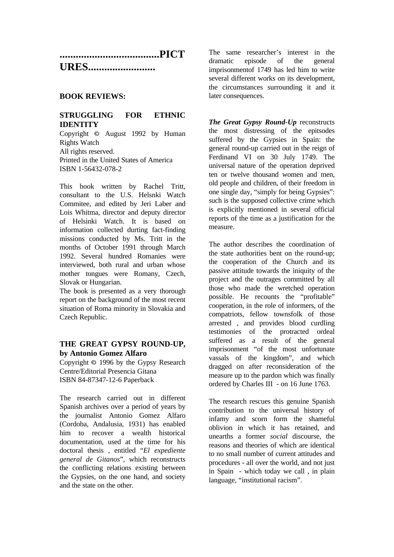| <b>URES</b> |  |
|-------------|--|

# **BOOK REVIEWS:**

# **STRUGGLING FOR ETHNIC IDENTITY**

Copyright © August 1992 by Human Rights Watch All rights reserved. Printed in the United States of America ISBN 1-56432-078-2

This book written by Rachel Tritt, consultant to the U.S. Helsnki Watch Commitee, and edited by Jeri Laber and Lois Whitma, director and deputy director of Helsinki Watch. It is based on information collected durting fact-finding missions conducted by Ms. Tritt in the months of October 1991 through March 1992. Several hundred Romanies were interviewed, both rural and urban whose mother tongues were Romany, Czech, Slovak or Hungarian.

The book is presented as a very thorough report on the background of the most recent situation of Roma minority in Slovakia and Czech Republic.

# **THE GREAT GYPSY ROUND-UP, by Antonio Gomez Alfaro**

Copyright © 1996 by the Gypsy Research Centre/Editorial Presencia Gitana ISBN 84-87347-12-6 Paperback

The research carried out in different Spanish archives over a period of years by the journalist Antonio Gomez Alfaro (Cordoba, Andalusia, 1931) has enabled him to recover a wealth historical documentation, used at the time for his doctoral thesis , entitled "*El expediente general de Gitanos*", which reconstructs the conflicting relations existing between the Gypsies, on the one hand, and society and the state on the other.

The same researcher's interest in the dramatic episode of the general imprisonmentof 1749 has led him to write several different works on its development, the circumstances surrounding it and it later consequences.

*The Great Gypsy Round-Up* reconstructs the most distressing of the epitsodes suffered by the Gypsies in Spain: the general round-up carried out in the reign of Ferdinand VI on 30 July 1749. The universal nature of the operation deprived ten or twelve thousand women and men, old people and children, of their freedom in one single day, "simply for being Gypsies": such is the supposed collective crime which is explicitly mentioned in several official reports of the time as a justification for the measure.

The author describes the coordination of the state authorities bent on the round-up; the cooperation of the Church and its passive attitude towards the iniquity of the project and the outrages committed by all those who made the wretched operation possible. He recounts the "profitable" cooperation, in the role of informers, of the compatriots, fellow townsfolk of those arrested , and provides blood curdling testimonies of the protracted ordeal suffered as a result of the general imprisonment "of the most unfortunate vassals of the kingdom", and which dragged on after reconsideration of the measure up to the pardon which was finally ordered by Charles III - on 16 June 1763.

The research rescues this genuine Spanish contribution to the universal history of infamy and scorn form the shameful oblivion in which it has retained, and unearths a former *social* discourse, the reasons and theories of which are identical to no small number of current attitudes and procedures - all over the world, and not just in Spain - which today we call , in plain language, "institutional racism".